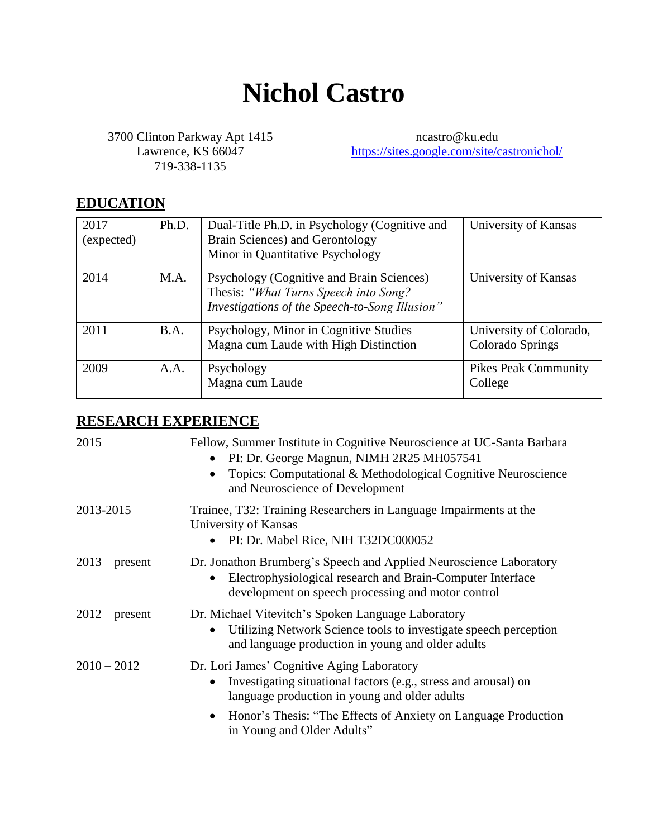# **Nichol Castro**

3700 Clinton Parkway Apt 1415 Lawrence, KS 66047 719-338-1135

ncastro@ku.edu <https://sites.google.com/site/castronichol/>

# **EDUCATION**

| 2017<br>(expected) | Ph.D. | Dual-Title Ph.D. in Psychology (Cognitive and<br>Brain Sciences) and Gerontology<br>Minor in Quantitative Psychology                 | University of Kansas                        |
|--------------------|-------|--------------------------------------------------------------------------------------------------------------------------------------|---------------------------------------------|
| 2014               | M.A.  | Psychology (Cognitive and Brain Sciences)<br>Thesis: "What Turns Speech into Song?<br>Investigations of the Speech-to-Song Illusion" | University of Kansas                        |
| 2011               | B.A.  | Psychology, Minor in Cognitive Studies<br>Magna cum Laude with High Distinction                                                      | University of Colorado,<br>Colorado Springs |
| 2009               | A.A.  | Psychology<br>Magna cum Laude                                                                                                        | <b>Pikes Peak Community</b><br>College      |

# **RESEARCH EXPERIENCE**

| 2015             | Fellow, Summer Institute in Cognitive Neuroscience at UC-Santa Barbara<br>PI: Dr. George Magnun, NIMH 2R25 MH057541<br>$\bullet$<br>Topics: Computational & Methodological Cognitive Neuroscience<br>$\bullet$<br>and Neuroscience of Development |
|------------------|---------------------------------------------------------------------------------------------------------------------------------------------------------------------------------------------------------------------------------------------------|
| 2013-2015        | Trainee, T32: Training Researchers in Language Impairments at the<br>University of Kansas<br>PI: Dr. Mabel Rice, NIH T32DC000052                                                                                                                  |
| $2013$ – present | Dr. Jonathon Brumberg's Speech and Applied Neuroscience Laboratory<br>Electrophysiological research and Brain-Computer Interface<br>development on speech processing and motor control                                                            |
| $2012$ – present | Dr. Michael Vitevitch's Spoken Language Laboratory<br>Utilizing Network Science tools to investigate speech perception<br>and language production in young and older adults                                                                       |
| $2010 - 2012$    | Dr. Lori James' Cognitive Aging Laboratory<br>Investigating situational factors (e.g., stress and arousal) on<br>language production in young and older adults                                                                                    |
|                  | Honor's Thesis: "The Effects of Anxiety on Language Production<br>$\bullet$<br>in Young and Older Adults"                                                                                                                                         |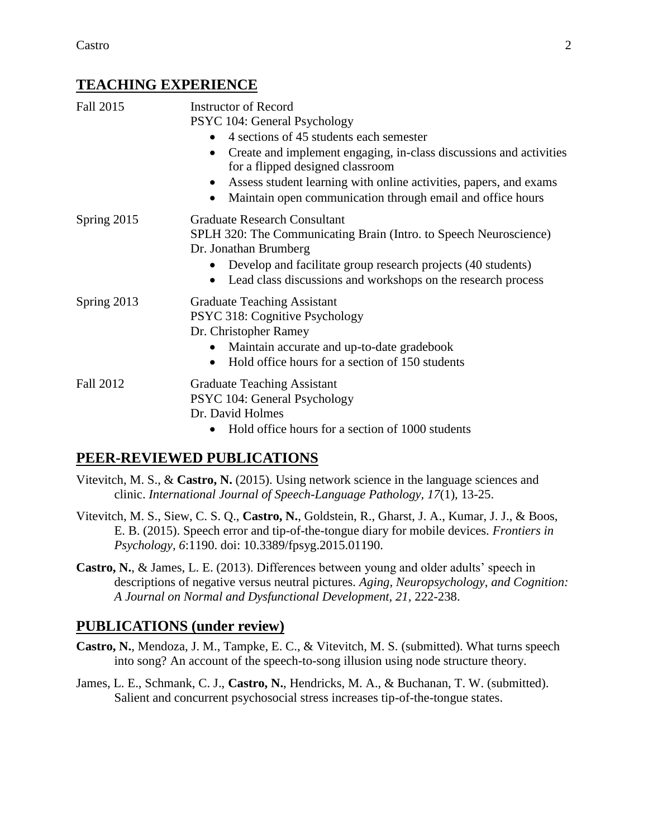## **TEACHING EXPERIENCE**

| Fall 2015   | <b>Instructor of Record</b>                                                                                                     |  |  |
|-------------|---------------------------------------------------------------------------------------------------------------------------------|--|--|
|             | PSYC 104: General Psychology                                                                                                    |  |  |
|             | 4 sections of 45 students each semester                                                                                         |  |  |
|             | Create and implement engaging, in-class discussions and activities<br>for a flipped designed classroom                          |  |  |
|             | Assess student learning with online activities, papers, and exams<br>Maintain open communication through email and office hours |  |  |
| Spring 2015 | <b>Graduate Research Consultant</b>                                                                                             |  |  |
|             | SPLH 320: The Communicating Brain (Intro. to Speech Neuroscience)<br>Dr. Jonathan Brumberg                                      |  |  |
|             | Develop and facilitate group research projects (40 students)                                                                    |  |  |
|             | Lead class discussions and workshops on the research process                                                                    |  |  |
| Spring 2013 | <b>Graduate Teaching Assistant</b>                                                                                              |  |  |
|             | PSYC 318: Cognitive Psychology                                                                                                  |  |  |
|             | Dr. Christopher Ramey                                                                                                           |  |  |
|             | Maintain accurate and up-to-date gradebook                                                                                      |  |  |
|             | Hold office hours for a section of 150 students                                                                                 |  |  |
| Fall 2012   | <b>Graduate Teaching Assistant</b>                                                                                              |  |  |
|             | PSYC 104: General Psychology                                                                                                    |  |  |
|             | Dr. David Holmes                                                                                                                |  |  |
|             | Hold office hours for a section of 1000 students                                                                                |  |  |

## **PEER-REVIEWED PUBLICATIONS**

- Vitevitch, M. S., & **Castro, N.** (2015). Using network science in the language sciences and clinic. *International Journal of Speech-Language Pathology, 17*(1), 13-25.
- Vitevitch, M. S., Siew, C. S. Q., **Castro, N.**, Goldstein, R., Gharst, J. A., Kumar, J. J., & Boos, E. B. (2015). Speech error and tip-of-the-tongue diary for mobile devices. *Frontiers in Psychology, 6*:1190. doi: 10.3389/fpsyg.2015.01190.
- **Castro, N.**, & James, L. E. (2013). Differences between young and older adults' speech in descriptions of negative versus neutral pictures. *Aging, Neuropsychology, and Cognition: A Journal on Normal and Dysfunctional Development, 21,* 222-238.

#### **PUBLICATIONS (under review)**

- **Castro, N.**, Mendoza, J. M., Tampke, E. C., & Vitevitch, M. S. (submitted). What turns speech into song? An account of the speech-to-song illusion using node structure theory.
- James, L. E., Schmank, C. J., **Castro, N.**, Hendricks, M. A., & Buchanan, T. W. (submitted). Salient and concurrent psychosocial stress increases tip-of-the-tongue states.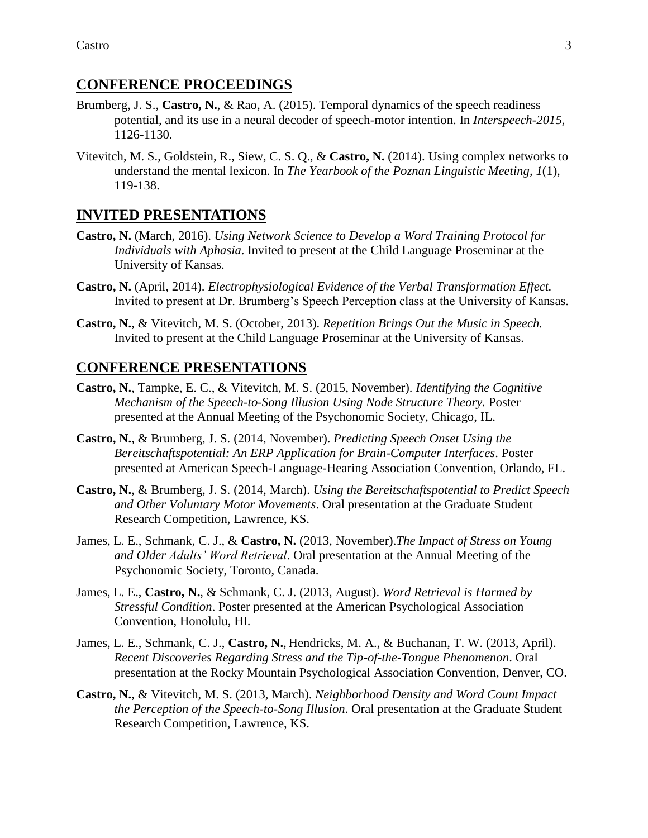#### **CONFERENCE PROCEEDINGS**

- Brumberg, J. S., **Castro, N.**, & Rao, A. (2015). Temporal dynamics of the speech readiness potential, and its use in a neural decoder of speech-motor intention. In *Interspeech-2015,*  1126-1130.
- Vitevitch, M. S., Goldstein, R., Siew, C. S. Q., & **Castro, N.** (2014). Using complex networks to understand the mental lexicon. In *The Yearbook of the Poznan Linguistic Meeting, 1*(1), 119-138.

#### **INVITED PRESENTATIONS**

- **Castro, N.** (March, 2016). *Using Network Science to Develop a Word Training Protocol for Individuals with Aphasia*. Invited to present at the Child Language Proseminar at the University of Kansas.
- **Castro, N.** (April, 2014). *Electrophysiological Evidence of the Verbal Transformation Effect.*  Invited to present at Dr. Brumberg's Speech Perception class at the University of Kansas.
- **Castro, N.**, & Vitevitch, M. S. (October, 2013). *Repetition Brings Out the Music in Speech.*  Invited to present at the Child Language Proseminar at the University of Kansas.

#### **CONFERENCE PRESENTATIONS**

- **Castro, N.**, Tampke, E. C., & Vitevitch, M. S. (2015, November). *Identifying the Cognitive Mechanism of the Speech-to-Song Illusion Using Node Structure Theory.* Poster presented at the Annual Meeting of the Psychonomic Society, Chicago, IL.
- **Castro, N.**, & Brumberg, J. S. (2014, November). *Predicting Speech Onset Using the Bereitschaftspotential: An ERP Application for Brain-Computer Interfaces*. Poster presented at American Speech-Language-Hearing Association Convention, Orlando, FL.
- **Castro, N.**, & Brumberg, J. S. (2014, March). *Using the Bereitschaftspotential to Predict Speech and Other Voluntary Motor Movements*. Oral presentation at the Graduate Student Research Competition, Lawrence, KS.
- James, L. E., Schmank, C. J., & **Castro, N.** (2013, November).*The Impact of Stress on Young and Older Adults' Word Retrieval*. Oral presentation at the Annual Meeting of the Psychonomic Society, Toronto, Canada.
- James, L. E., **Castro, N.**, & Schmank, C. J. (2013, August). *Word Retrieval is Harmed by Stressful Condition*. Poster presented at the American Psychological Association Convention, Honolulu, HI.
- James, L. E., Schmank, C. J., **Castro, N.**, Hendricks, M. A., & Buchanan, T. W. (2013, April). *Recent Discoveries Regarding Stress and the Tip-of-the-Tongue Phenomenon*. Oral presentation at the Rocky Mountain Psychological Association Convention, Denver, CO.
- **Castro, N.**, & Vitevitch, M. S. (2013, March). *Neighborhood Density and Word Count Impact the Perception of the Speech-to-Song Illusion*. Oral presentation at the Graduate Student Research Competition, Lawrence, KS.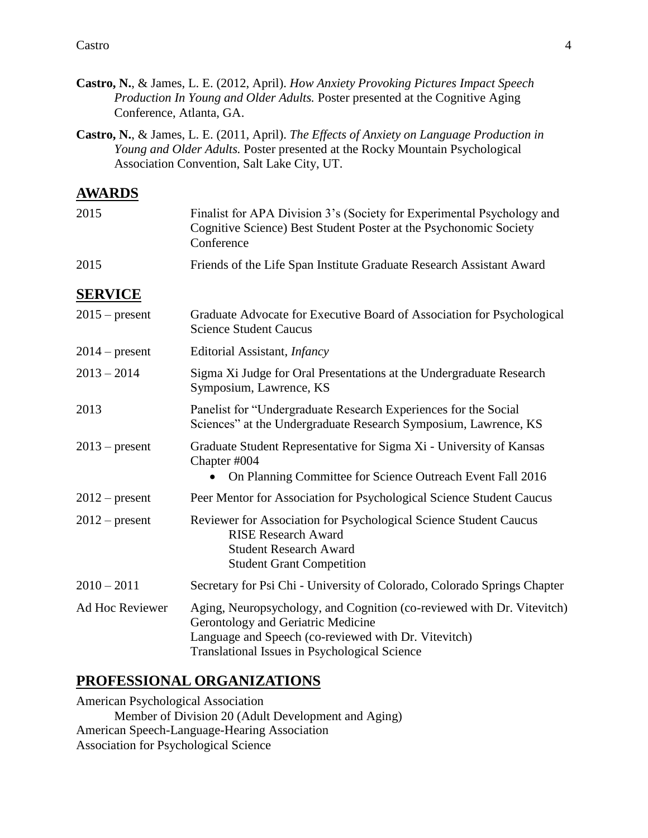- **Castro, N.**, & James, L. E. (2012, April). *How Anxiety Provoking Pictures Impact Speech Production In Young and Older Adults.* Poster presented at the Cognitive Aging Conference, Atlanta, GA.
- **Castro, N.**, & James, L. E. (2011, April). *The Effects of Anxiety on Language Production in Young and Older Adults.* Poster presented at the Rocky Mountain Psychological Association Convention, Salt Lake City, UT.

# **AWARDS**

| 2015             | Finalist for APA Division 3's (Society for Experimental Psychology and<br>Cognitive Science) Best Student Poster at the Psychonomic Society<br>Conference                                                                    |  |
|------------------|------------------------------------------------------------------------------------------------------------------------------------------------------------------------------------------------------------------------------|--|
| 2015             | Friends of the Life Span Institute Graduate Research Assistant Award                                                                                                                                                         |  |
| <b>SERVICE</b>   |                                                                                                                                                                                                                              |  |
| $2015$ – present | Graduate Advocate for Executive Board of Association for Psychological<br><b>Science Student Caucus</b>                                                                                                                      |  |
| $2014$ – present | Editorial Assistant, <i>Infancy</i>                                                                                                                                                                                          |  |
| $2013 - 2014$    | Sigma Xi Judge for Oral Presentations at the Undergraduate Research<br>Symposium, Lawrence, KS                                                                                                                               |  |
| 2013             | Panelist for "Undergraduate Research Experiences for the Social<br>Sciences" at the Undergraduate Research Symposium, Lawrence, KS                                                                                           |  |
| $2013$ – present | Graduate Student Representative for Sigma Xi - University of Kansas<br>Chapter #004<br>On Planning Committee for Science Outreach Event Fall 2016                                                                            |  |
| $2012$ – present | Peer Mentor for Association for Psychological Science Student Caucus                                                                                                                                                         |  |
| $2012$ – present | Reviewer for Association for Psychological Science Student Caucus<br><b>RISE Research Award</b><br><b>Student Research Award</b><br><b>Student Grant Competition</b>                                                         |  |
| $2010 - 2011$    | Secretary for Psi Chi - University of Colorado, Colorado Springs Chapter                                                                                                                                                     |  |
| Ad Hoc Reviewer  | Aging, Neuropsychology, and Cognition (co-reviewed with Dr. Vitevitch)<br>Gerontology and Geriatric Medicine<br>Language and Speech (co-reviewed with Dr. Vitevitch)<br><b>Translational Issues in Psychological Science</b> |  |

### **PROFESSIONAL ORGANIZATIONS**

American Psychological Association Member of Division 20 (Adult Development and Aging) American Speech-Language-Hearing Association Association for Psychological Science